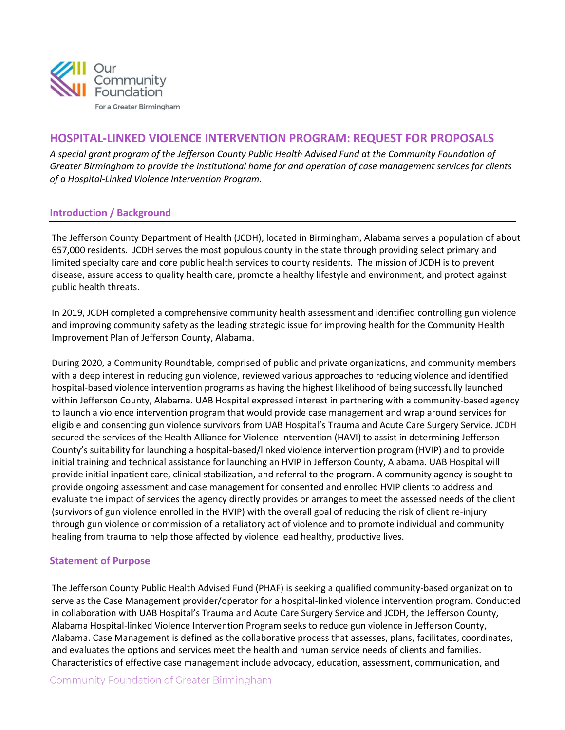

# **HOSPITAL-LINKED VIOLENCE INTERVENTION PROGRAM: REQUEST FOR PROPOSALS**

*A special grant program of the Jefferson County Public Health Advised Fund at the Community Foundation of Greater Birmingham to provide the institutional home for and operation of case management services for clients of a Hospital-Linked Violence Intervention Program.*

## **Introduction / Background**

The Jefferson County Department of Health (JCDH), located in Birmingham, Alabama serves a population of about 657,000 residents. JCDH serves the most populous county in the state through providing select primary and limited specialty care and core public health services to county residents. The mission of JCDH is to prevent disease, assure access to quality health care, promote a healthy lifestyle and environment, and protect against public health threats.

In 2019, JCDH completed a comprehensive community health assessment and identified controlling gun violence and improving community safety as the leading strategic issue for improving health for the Community Health Improvement Plan of Jefferson County, Alabama.

During 2020, a Community Roundtable, comprised of public and private organizations, and community members with a deep interest in reducing gun violence, reviewed various approaches to reducing violence and identified hospital-based violence intervention programs as having the highest likelihood of being successfully launched within Jefferson County, Alabama. UAB Hospital expressed interest in partnering with a community-based agency to launch a violence intervention program that would provide case management and wrap around services for eligible and consenting gun violence survivors from UAB Hospital's Trauma and Acute Care Surgery Service. JCDH secured the services of the Health Alliance for Violence Intervention (HAVI) to assist in determining Jefferson County's suitability for launching a hospital-based/linked violence intervention program (HVIP) and to provide initial training and technical assistance for launching an HVIP in Jefferson County, Alabama. UAB Hospital will provide initial inpatient care, clinical stabilization, and referral to the program. A community agency is sought to provide ongoing assessment and case management for consented and enrolled HVIP clients to address and evaluate the impact of services the agency directly provides or arranges to meet the assessed needs of the client (survivors of gun violence enrolled in the HVIP) with the overall goal of reducing the risk of client re-injury through gun violence or commission of a retaliatory act of violence and to promote individual and community healing from trauma to help those affected by violence lead healthy, productive lives.

## **Statement of Purpose**

The Jefferson County Public Health Advised Fund (PHAF) is seeking a qualified community-based organization to serve as the Case Management provider/operator for a hospital-linked violence intervention program. Conducted in collaboration with UAB Hospital's Trauma and Acute Care Surgery Service and JCDH, the Jefferson County, Alabama Hospital-linked Violence Intervention Program seeks to reduce gun violence in Jefferson County, Alabama. Case Management is defined as the collaborative process that assesses, plans, facilitates, coordinates, and evaluates the options and services meet the health and human service needs of clients and families. Characteristics of effective case management include advocacy, education, assessment, communication, and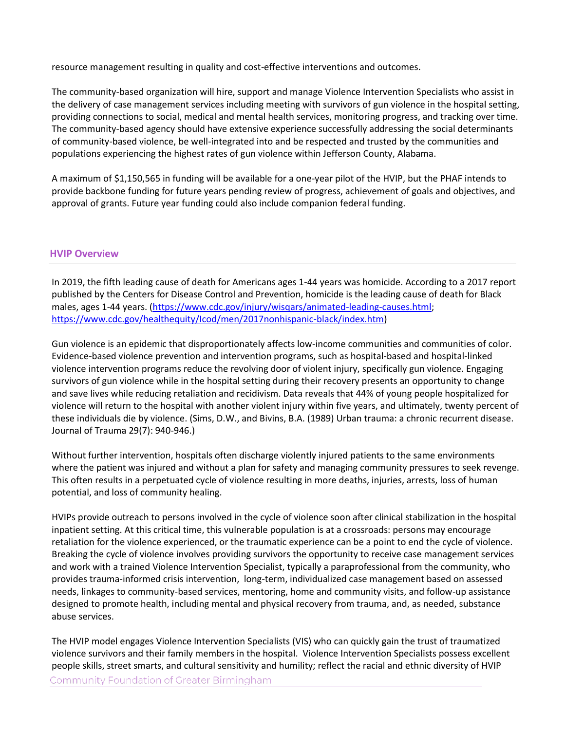resource management resulting in quality and cost-effective interventions and outcomes.

The community-based organization will hire, support and manage Violence Intervention Specialists who assist in the delivery of case management services including meeting with survivors of gun violence in the hospital setting, providing connections to social, medical and mental health services, monitoring progress, and tracking over time. The community-based agency should have extensive experience successfully addressing the social determinants of community-based violence, be well-integrated into and be respected and trusted by the communities and populations experiencing the highest rates of gun violence within Jefferson County, Alabama.

A maximum of \$1,150,565 in funding will be available for a one-year pilot of the HVIP, but the PHAF intends to provide backbone funding for future years pending review of progress, achievement of goals and objectives, and approval of grants. Future year funding could also include companion federal funding.

### **HVIP Overview**

In 2019, the fifth leading cause of death for Americans ages 1-44 years was homicide. According to a 2017 report published by the Centers for Disease Control and Prevention, homicide is the leading cause of death for Black males, ages 1-44 years. [\(https://www.cdc.gov/injury/wisqars/animated-leading-causes.html;](https://www.cdc.gov/injury/wisqars/animated-leading-causes.html) [https://www.cdc.gov/healthequity/Icod/men/2017nonhispanic-black/index.htm\)](https://www.cdc.gov/healthequity/Icod/men/2017nonhispanic-black/index.htm)

Gun violence is an epidemic that disproportionately affects low-income communities and communities of color. Evidence-based violence prevention and intervention programs, such as hospital-based and hospital-linked violence intervention programs reduce the revolving door of violent injury, specifically gun violence. Engaging survivors of gun violence while in the hospital setting during their recovery presents an opportunity to change and save lives while reducing retaliation and recidivism. Data reveals that 44% of young people hospitalized for violence will return to the hospital with another violent injury within five years, and ultimately, twenty percent of these individuals die by violence. (Sims, D.W., and Bivins, B.A. (1989) Urban trauma: a chronic recurrent disease. Journal of Trauma 29(7): 940-946.)

Without further intervention, hospitals often discharge violently injured patients to the same environments where the patient was injured and without a plan for safety and managing community pressures to seek revenge. This often results in a perpetuated cycle of violence resulting in more deaths, injuries, arrests, loss of human potential, and loss of community healing.

HVIPs provide outreach to persons involved in the cycle of violence soon after clinical stabilization in the hospital inpatient setting. At this critical time, this vulnerable population is at a crossroads: persons may encourage retaliation for the violence experienced, or the traumatic experience can be a point to end the cycle of violence. Breaking the cycle of violence involves providing survivors the opportunity to receive case management services and work with a trained Violence Intervention Specialist, typically a paraprofessional from the community, who provides trauma-informed crisis intervention, long-term, individualized case management based on assessed needs, linkages to community-based services, mentoring, home and community visits, and follow-up assistance designed to promote health, including mental and physical recovery from trauma, and, as needed, substance abuse services.

The HVIP model engages Violence Intervention Specialists (VIS) who can quickly gain the trust of traumatized violence survivors and their family members in the hospital. Violence Intervention Specialists possess excellent people skills, street smarts, and cultural sensitivity and humility; reflect the racial and ethnic diversity of HVIP **Community Foundation of Greater Birmingham**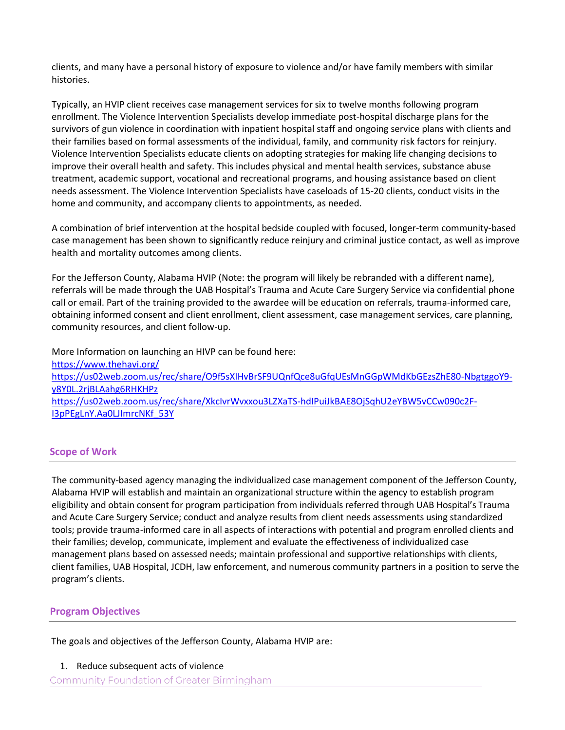clients, and many have a personal history of exposure to violence and/or have family members with similar histories.

Typically, an HVIP client receives case management services for six to twelve months following program enrollment. The Violence Intervention Specialists develop immediate post-hospital discharge plans for the survivors of gun violence in coordination with inpatient hospital staff and ongoing service plans with clients and their families based on formal assessments of the individual, family, and community risk factors for reinjury. Violence Intervention Specialists educate clients on adopting strategies for making life changing decisions to improve their overall health and safety. This includes physical and mental health services, substance abuse treatment, academic support, vocational and recreational programs, and housing assistance based on client needs assessment. The Violence Intervention Specialists have caseloads of 15-20 clients, conduct visits in the home and community, and accompany clients to appointments, as needed.

A combination of brief intervention at the hospital bedside coupled with focused, longer-term community-based case management has been shown to significantly reduce reinjury and criminal justice contact, as well as improve health and mortality outcomes among clients.

For the Jefferson County, Alabama HVIP (Note: the program will likely be rebranded with a different name), referrals will be made through the UAB Hospital's Trauma and Acute Care Surgery Service via confidential phone call or email. Part of the training provided to the awardee will be education on referrals, trauma-informed care, obtaining informed consent and client enrollment, client assessment, case management services, care planning, community resources, and client follow-up.

More Information on launching an HIVP can be found here: <https://www.thehavi.org/> [https://us02web.zoom.us/rec/share/O9f5sXIHvBrSF9UQnfQce8uGfqUEsMnGGpWMdKbGEzsZhE80-NbgtggoY9](https://us02web.zoom.us/rec/share/O9f5sXIHvBrSF9UQnfQce8uGfqUEsMnGGpWMdKbGEzsZhE80-NbgtggoY9-y8Y0L.2rjBLAahg6RHKHPz) [y8Y0L.2rjBLAahg6RHKHPz](https://us02web.zoom.us/rec/share/O9f5sXIHvBrSF9UQnfQce8uGfqUEsMnGGpWMdKbGEzsZhE80-NbgtggoY9-y8Y0L.2rjBLAahg6RHKHPz) [https://us02web.zoom.us/rec/share/XkcIvrWvxxou3LZXaTS-hdIPuiJkBAE8OjSqhU2eYBW5vCCw090c2F-](https://us02web.zoom.us/rec/share/XkcIvrWvxxou3LZXaTS-hdIPuiJkBAE8OjSqhU2eYBW5vCCw090c2F-I3pPEgLnY.Aa0LJImrcNKf_53Y)[I3pPEgLnY.Aa0LJImrcNKf\\_53Y](https://us02web.zoom.us/rec/share/XkcIvrWvxxou3LZXaTS-hdIPuiJkBAE8OjSqhU2eYBW5vCCw090c2F-I3pPEgLnY.Aa0LJImrcNKf_53Y)

## **Scope of Work**

The community-based agency managing the individualized case management component of the Jefferson County, Alabama HVIP will establish and maintain an organizational structure within the agency to establish program eligibility and obtain consent for program participation from individuals referred through UAB Hospital's Trauma and Acute Care Surgery Service; conduct and analyze results from client needs assessments using standardized tools; provide trauma-informed care in all aspects of interactions with potential and program enrolled clients and their families; develop, communicate, implement and evaluate the effectiveness of individualized case management plans based on assessed needs; maintain professional and supportive relationships with clients, client families, UAB Hospital, JCDH, law enforcement, and numerous community partners in a position to serve the program's clients.

## **Program Objectives**

The goals and objectives of the Jefferson County, Alabama HVIP are:

1. Reduce subsequent acts of violence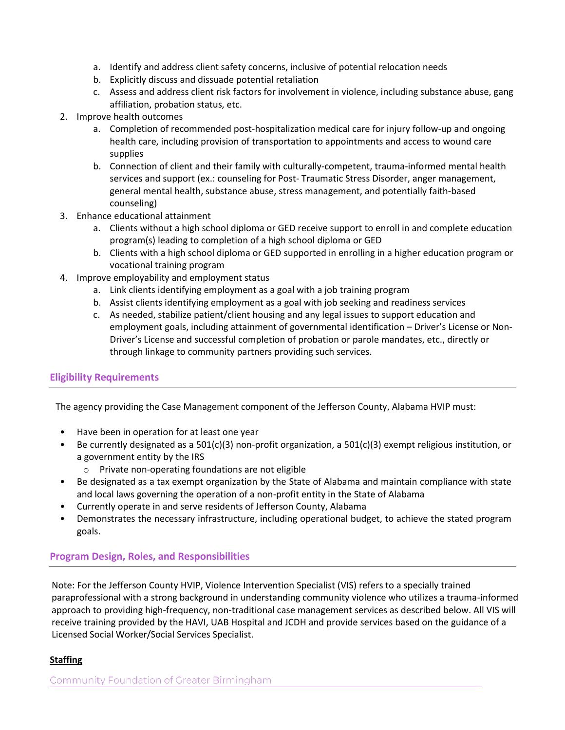- a. Identify and address client safety concerns, inclusive of potential relocation needs
- b. Explicitly discuss and dissuade potential retaliation
- c. Assess and address client risk factors for involvement in violence, including substance abuse, gang affiliation, probation status, etc.
- 2. Improve health outcomes
	- a. Completion of recommended post-hospitalization medical care for injury follow-up and ongoing health care, including provision of transportation to appointments and access to wound care supplies
	- b. Connection of client and their family with culturally-competent, trauma-informed mental health services and support (ex.: counseling for Post- Traumatic Stress Disorder, anger management, general mental health, substance abuse, stress management, and potentially faith-based counseling)
- 3. Enhance educational attainment
	- a. Clients without a high school diploma or GED receive support to enroll in and complete education program(s) leading to completion of a high school diploma or GED
	- b. Clients with a high school diploma or GED supported in enrolling in a higher education program or vocational training program
- 4. Improve employability and employment status
	- a. Link clients identifying employment as a goal with a job training program
	- b. Assist clients identifying employment as a goal with job seeking and readiness services
	- c. As needed, stabilize patient/client housing and any legal issues to support education and employment goals, including attainment of governmental identification – Driver's License or Non-Driver's License and successful completion of probation or parole mandates, etc., directly or through linkage to community partners providing such services.

## **Eligibility Requirements**

The agency providing the Case Management component of the Jefferson County, Alabama HVIP must:

- Have been in operation for at least one year
- Be currently designated as a 501(c)(3) non-profit organization, a 501(c)(3) exempt religious institution, or a government entity by the IRS
	- o Private non-operating foundations are not eligible
- Be designated as a tax exempt organization by the State of Alabama and maintain compliance with state and local laws governing the operation of a non-profit entity in the State of Alabama
- Currently operate in and serve residents of Jefferson County, Alabama
- Demonstrates the necessary infrastructure, including operational budget, to achieve the stated program goals.

## **Program Design, Roles, and Responsibilities**

Note: For the Jefferson County HVIP, Violence Intervention Specialist (VIS) refers to a specially trained paraprofessional with a strong background in understanding community violence who utilizes a trauma-informed approach to providing high-frequency, non-traditional case management services as described below. All VIS will receive training provided by the HAVI, UAB Hospital and JCDH and provide services based on the guidance of a Licensed Social Worker/Social Services Specialist.

## **Staffing**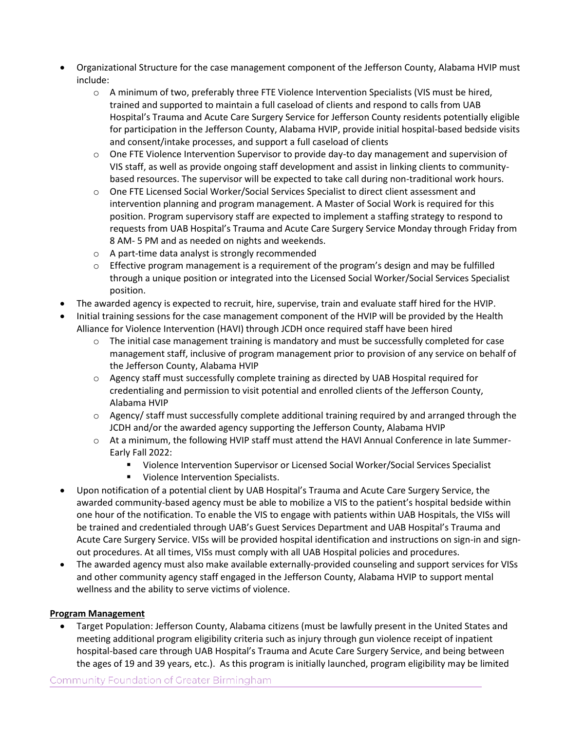- Organizational Structure for the case management component of the Jefferson County, Alabama HVIP must include:
	- o A minimum of two, preferably three FTE Violence Intervention Specialists (VIS must be hired, trained and supported to maintain a full caseload of clients and respond to calls from UAB Hospital's Trauma and Acute Care Surgery Service for Jefferson County residents potentially eligible for participation in the Jefferson County, Alabama HVIP, provide initial hospital-based bedside visits and consent/intake processes, and support a full caseload of clients
	- $\circ$  One FTE Violence Intervention Supervisor to provide day-to day management and supervision of VIS staff, as well as provide ongoing staff development and assist in linking clients to communitybased resources. The supervisor will be expected to take call during non-traditional work hours.
	- o One FTE Licensed Social Worker/Social Services Specialist to direct client assessment and intervention planning and program management. A Master of Social Work is required for this position. Program supervisory staff are expected to implement a staffing strategy to respond to requests from UAB Hospital's Trauma and Acute Care Surgery Service Monday through Friday from 8 AM- 5 PM and as needed on nights and weekends.
	- o A part-time data analyst is strongly recommended
	- $\circ$  Effective program management is a requirement of the program's design and may be fulfilled through a unique position or integrated into the Licensed Social Worker/Social Services Specialist position.
- The awarded agency is expected to recruit, hire, supervise, train and evaluate staff hired for the HVIP.
- Initial training sessions for the case management component of the HVIP will be provided by the Health Alliance for Violence Intervention (HAVI) through JCDH once required staff have been hired
	- $\circ$  The initial case management training is mandatory and must be successfully completed for case management staff, inclusive of program management prior to provision of any service on behalf of the Jefferson County, Alabama HVIP
	- o Agency staff must successfully complete training as directed by UAB Hospital required for credentialing and permission to visit potential and enrolled clients of the Jefferson County, Alabama HVIP
	- o Agency/ staff must successfully complete additional training required by and arranged through the JCDH and/or the awarded agency supporting the Jefferson County, Alabama HVIP
	- o At a minimum, the following HVIP staff must attend the HAVI Annual Conference in late Summer-Early Fall 2022:
		- Violence Intervention Supervisor or Licensed Social Worker/Social Services Specialist
		- **Violence Intervention Specialists.**
- Upon notification of a potential client by UAB Hospital's Trauma and Acute Care Surgery Service, the awarded community-based agency must be able to mobilize a VIS to the patient's hospital bedside within one hour of the notification. To enable the VIS to engage with patients within UAB Hospitals, the VISs will be trained and credentialed through UAB's Guest Services Department and UAB Hospital's Trauma and Acute Care Surgery Service. VISs will be provided hospital identification and instructions on sign-in and signout procedures. At all times, VISs must comply with all UAB Hospital policies and procedures.
- The awarded agency must also make available externally-provided counseling and support services for VISs and other community agency staff engaged in the Jefferson County, Alabama HVIP to support mental wellness and the ability to serve victims of violence.

## **Program Management**

 Target Population: Jefferson County, Alabama citizens (must be lawfully present in the United States and meeting additional program eligibility criteria such as injury through gun violence receipt of inpatient hospital-based care through UAB Hospital's Trauma and Acute Care Surgery Service, and being between the ages of 19 and 39 years, etc.). As this program is initially launched, program eligibility may be limited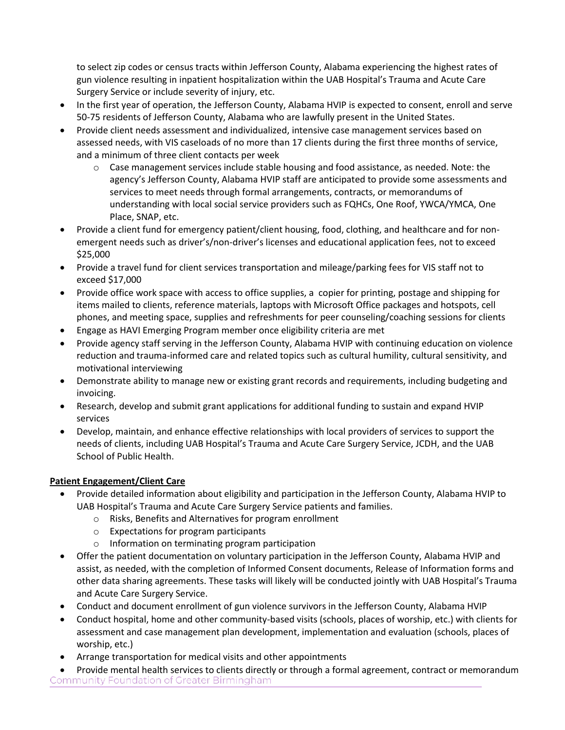to select zip codes or census tracts within Jefferson County, Alabama experiencing the highest rates of gun violence resulting in inpatient hospitalization within the UAB Hospital's Trauma and Acute Care Surgery Service or include severity of injury, etc.

- In the first year of operation, the Jefferson County, Alabama HVIP is expected to consent, enroll and serve 50-75 residents of Jefferson County, Alabama who are lawfully present in the United States.
- Provide client needs assessment and individualized, intensive case management services based on assessed needs, with VIS caseloads of no more than 17 clients during the first three months of service, and a minimum of three client contacts per week
	- o Case management services include stable housing and food assistance, as needed. Note: the agency's Jefferson County, Alabama HVIP staff are anticipated to provide some assessments and services to meet needs through formal arrangements, contracts, or memorandums of understanding with local social service providers such as FQHCs, One Roof, YWCA/YMCA, One Place, SNAP, etc.
- Provide a client fund for emergency patient/client housing, food, clothing, and healthcare and for nonemergent needs such as driver's/non-driver's licenses and educational application fees, not to exceed \$25,000
- Provide a travel fund for client services transportation and mileage/parking fees for VIS staff not to exceed \$17,000
- Provide office work space with access to office supplies, a copier for printing, postage and shipping for items mailed to clients, reference materials, laptops with Microsoft Office packages and hotspots, cell phones, and meeting space, supplies and refreshments for peer counseling/coaching sessions for clients
- Engage as HAVI Emerging Program member once eligibility criteria are met
- Provide agency staff serving in the Jefferson County, Alabama HVIP with continuing education on violence reduction and trauma-informed care and related topics such as cultural humility, cultural sensitivity, and motivational interviewing
- Demonstrate ability to manage new or existing grant records and requirements, including budgeting and invoicing.
- Research, develop and submit grant applications for additional funding to sustain and expand HVIP services
- Develop, maintain, and enhance effective relationships with local providers of services to support the needs of clients, including UAB Hospital's Trauma and Acute Care Surgery Service, JCDH, and the UAB School of Public Health.

# **Patient Engagement/Client Care**

- Provide detailed information about eligibility and participation in the Jefferson County, Alabama HVIP to UAB Hospital's Trauma and Acute Care Surgery Service patients and families.
	- o Risks, Benefits and Alternatives for program enrollment
	- o Expectations for program participants
	- o Information on terminating program participation
- Offer the patient documentation on voluntary participation in the Jefferson County, Alabama HVIP and assist, as needed, with the completion of Informed Consent documents, Release of Information forms and other data sharing agreements. These tasks will likely will be conducted jointly with UAB Hospital's Trauma and Acute Care Surgery Service.
- Conduct and document enrollment of gun violence survivors in the Jefferson County, Alabama HVIP
- Conduct hospital, home and other community-based visits (schools, places of worship, etc.) with clients for assessment and case management plan development, implementation and evaluation (schools, places of worship, etc.)
- Arrange transportation for medical visits and other appointments
- Provide mental health services to clients directly or through a formal agreement, contract or memorandum Community Foundation of Greater Birmingham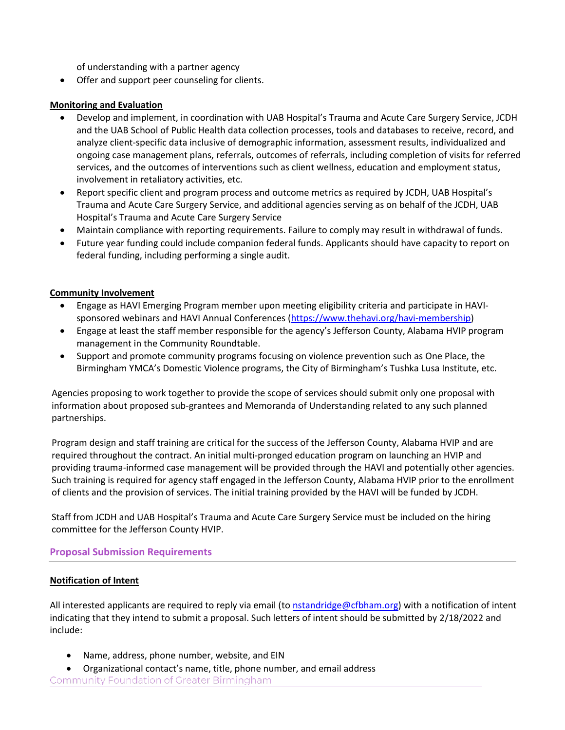of understanding with a partner agency

Offer and support peer counseling for clients.

#### **Monitoring and Evaluation**

- Develop and implement, in coordination with UAB Hospital's Trauma and Acute Care Surgery Service, JCDH and the UAB School of Public Health data collection processes, tools and databases to receive, record, and analyze client-specific data inclusive of demographic information, assessment results, individualized and ongoing case management plans, referrals, outcomes of referrals, including completion of visits for referred services, and the outcomes of interventions such as client wellness, education and employment status, involvement in retaliatory activities, etc.
- Report specific client and program process and outcome metrics as required by JCDH, UAB Hospital's Trauma and Acute Care Surgery Service, and additional agencies serving as on behalf of the JCDH, UAB Hospital's Trauma and Acute Care Surgery Service
- Maintain compliance with reporting requirements. Failure to comply may result in withdrawal of funds.
- Future year funding could include companion federal funds. Applicants should have capacity to report on federal funding, including performing a single audit.

#### **Community Involvement**

- Engage as HAVI Emerging Program member upon meeting eligibility criteria and participate in HAVIsponsored webinars and HAVI Annual Conferences [\(https://www.thehavi.org/havi-membership\)](https://www.thehavi.org/havi-membership)
- Engage at least the staff member responsible for the agency's Jefferson County, Alabama HVIP program management in the Community Roundtable.
- Support and promote community programs focusing on violence prevention such as One Place, the Birmingham YMCA's Domestic Violence programs, the City of Birmingham's Tushka Lusa Institute, etc.

Agencies proposing to work together to provide the scope of services should submit only one proposal with information about proposed sub-grantees and Memoranda of Understanding related to any such planned partnerships.

Program design and staff training are critical for the success of the Jefferson County, Alabama HVIP and are required throughout the contract. An initial multi-pronged education program on launching an HVIP and providing trauma-informed case management will be provided through the HAVI and potentially other agencies. Such training is required for agency staff engaged in the Jefferson County, Alabama HVIP prior to the enrollment of clients and the provision of services. The initial training provided by the HAVI will be funded by JCDH.

Staff from JCDH and UAB Hospital's Trauma and Acute Care Surgery Service must be included on the hiring committee for the Jefferson County HVIP.

#### **Proposal Submission Requirements**

#### **Notification of Intent**

All interested applicants are required to reply via email (to [nstandridge@cfbham.org\)](mailto:nstandridge@cfbham.org) with a notification of intent indicating that they intend to submit a proposal. Such letters of intent should be submitted by 2/18/2022 and include:

- Name, address, phone number, website, and EIN
- Organizational contact's name, title, phone number, and email address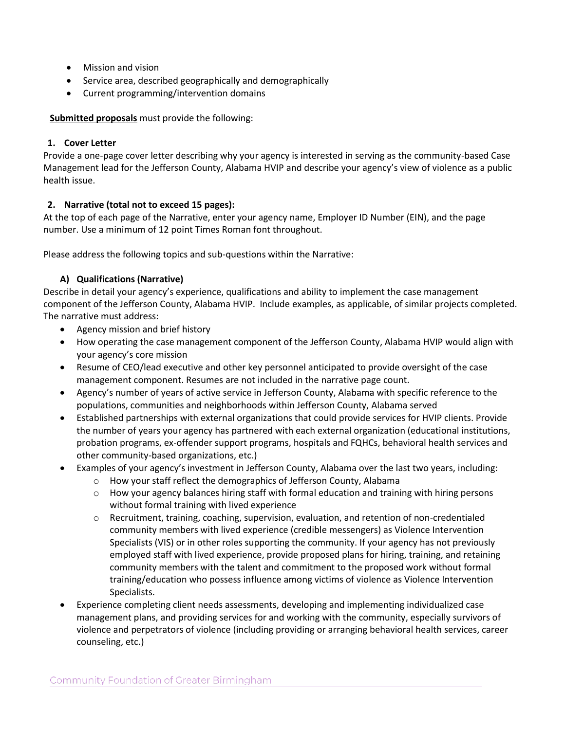- Mission and vision
- Service area, described geographically and demographically
- Current programming/intervention domains

**Submitted proposals** must provide the following:

### **1. Cover Letter**

Provide a one-page cover letter describing why your agency is interested in serving as the community-based Case Management lead for the Jefferson County, Alabama HVIP and describe your agency's view of violence as a public health issue.

## **2. Narrative (total not to exceed 15 pages):**

At the top of each page of the Narrative, enter your agency name, Employer ID Number (EIN), and the page number. Use a minimum of 12 point Times Roman font throughout.

Please address the following topics and sub-questions within the Narrative:

## **A) Qualifications (Narrative)**

Describe in detail your agency's experience, qualifications and ability to implement the case management component of the Jefferson County, Alabama HVIP. Include examples, as applicable, of similar projects completed. The narrative must address:

- Agency mission and brief history
- How operating the case management component of the Jefferson County, Alabama HVIP would align with your agency's core mission
- Resume of CEO/lead executive and other key personnel anticipated to provide oversight of the case management component. Resumes are not included in the narrative page count.
- Agency's number of years of active service in Jefferson County, Alabama with specific reference to the populations, communities and neighborhoods within Jefferson County, Alabama served
- Established partnerships with external organizations that could provide services for HVIP clients. Provide the number of years your agency has partnered with each external organization (educational institutions, probation programs, ex-offender support programs, hospitals and FQHCs, behavioral health services and other community-based organizations, etc.)
- Examples of your agency's investment in Jefferson County, Alabama over the last two years, including:
	- o How your staff reflect the demographics of Jefferson County, Alabama
	- $\circ$  How your agency balances hiring staff with formal education and training with hiring persons without formal training with lived experience
	- $\circ$  Recruitment, training, coaching, supervision, evaluation, and retention of non-credentialed community members with lived experience (credible messengers) as Violence Intervention Specialists (VIS) or in other roles supporting the community. If your agency has not previously employed staff with lived experience, provide proposed plans for hiring, training, and retaining community members with the talent and commitment to the proposed work without formal training/education who possess influence among victims of violence as Violence Intervention Specialists.
- Experience completing client needs assessments, developing and implementing individualized case management plans, and providing services for and working with the community, especially survivors of violence and perpetrators of violence (including providing or arranging behavioral health services, career counseling, etc.)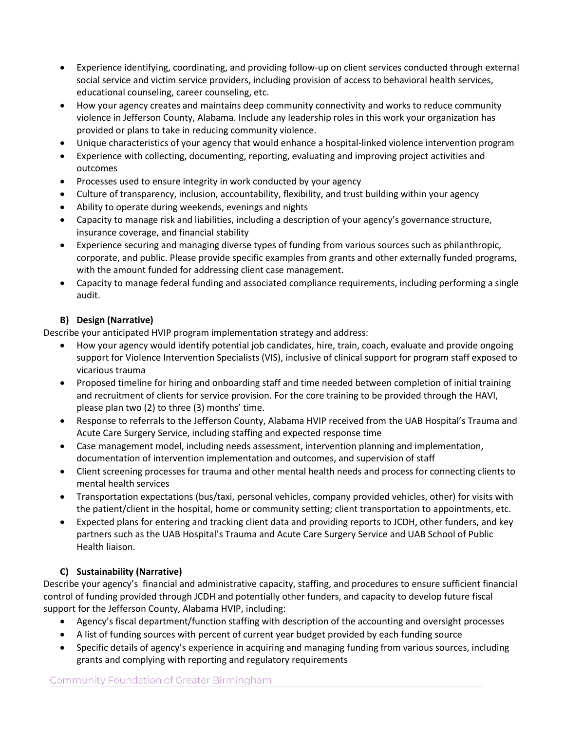- Experience identifying, coordinating, and providing follow-up on client services conducted through external social service and victim service providers, including provision of access to behavioral health services, educational counseling, career counseling, etc.
- How your agency creates and maintains deep community connectivity and works to reduce community violence in Jefferson County, Alabama. Include any leadership roles in this work your organization has provided or plans to take in reducing community violence.
- Unique characteristics of your agency that would enhance a hospital-linked violence intervention program
- Experience with collecting, documenting, reporting, evaluating and improving project activities and outcomes
- Processes used to ensure integrity in work conducted by your agency
- Culture of transparency, inclusion, accountability, flexibility, and trust building within your agency
- Ability to operate during weekends, evenings and nights
- Capacity to manage risk and liabilities, including a description of your agency's governance structure, insurance coverage, and financial stability
- Experience securing and managing diverse types of funding from various sources such as philanthropic, corporate, and public. Please provide specific examples from grants and other externally funded programs, with the amount funded for addressing client case management.
- Capacity to manage federal funding and associated compliance requirements, including performing a single audit.

## **B) Design (Narrative)**

Describe your anticipated HVIP program implementation strategy and address:

- How your agency would identify potential job candidates, hire, train, coach, evaluate and provide ongoing support for Violence Intervention Specialists (VIS), inclusive of clinical support for program staff exposed to vicarious trauma
- Proposed timeline for hiring and onboarding staff and time needed between completion of initial training and recruitment of clients for service provision. For the core training to be provided through the HAVI, please plan two (2) to three (3) months' time.
- Response to referrals to the Jefferson County, Alabama HVIP received from the UAB Hospital's Trauma and Acute Care Surgery Service, including staffing and expected response time
- Case management model, including needs assessment, intervention planning and implementation, documentation of intervention implementation and outcomes, and supervision of staff
- Client screening processes for trauma and other mental health needs and process for connecting clients to mental health services
- Transportation expectations (bus/taxi, personal vehicles, company provided vehicles, other) for visits with the patient/client in the hospital, home or community setting; client transportation to appointments, etc.
- Expected plans for entering and tracking client data and providing reports to JCDH, other funders, and key partners such as the UAB Hospital's Trauma and Acute Care Surgery Service and UAB School of Public Health liaison.

# **C) Sustainability (Narrative)**

Describe your agency's financial and administrative capacity, staffing, and procedures to ensure sufficient financial control of funding provided through JCDH and potentially other funders, and capacity to develop future fiscal support for the Jefferson County, Alabama HVIP, including:

- Agency's fiscal department/function staffing with description of the accounting and oversight processes
- A list of funding sources with percent of current year budget provided by each funding source
- Specific details of agency's experience in acquiring and managing funding from various sources, including grants and complying with reporting and regulatory requirements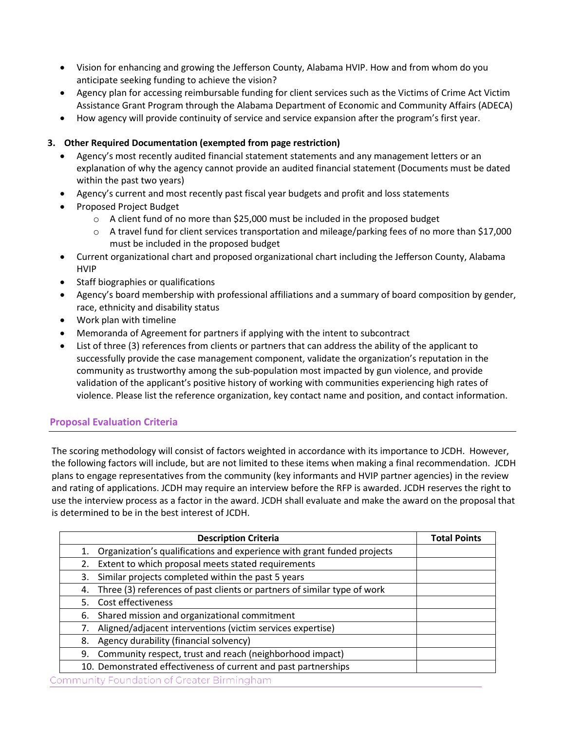- Vision for enhancing and growing the Jefferson County, Alabama HVIP. How and from whom do you anticipate seeking funding to achieve the vision?
- Agency plan for accessing reimbursable funding for client services such as the Victims of Crime Act Victim Assistance Grant Program through the Alabama Department of Economic and Community Affairs (ADECA)
- How agency will provide continuity of service and service expansion after the program's first year.

### **3. Other Required Documentation (exempted from page restriction)**

- Agency's most recently audited financial statement statements and any management letters or an explanation of why the agency cannot provide an audited financial statement (Documents must be dated within the past two years)
- Agency's current and most recently past fiscal year budgets and profit and loss statements
- Proposed Project Budget
	- $\circ$  A client fund of no more than \$25,000 must be included in the proposed budget
	- o A travel fund for client services transportation and mileage/parking fees of no more than \$17,000 must be included in the proposed budget
- Current organizational chart and proposed organizational chart including the Jefferson County, Alabama HVIP
- Staff biographies or qualifications
- Agency's board membership with professional affiliations and a summary of board composition by gender, race, ethnicity and disability status
- Work plan with timeline
- Memoranda of Agreement for partners if applying with the intent to subcontract
- List of three (3) references from clients or partners that can address the ability of the applicant to successfully provide the case management component, validate the organization's reputation in the community as trustworthy among the sub-population most impacted by gun violence, and provide validation of the applicant's positive history of working with communities experiencing high rates of violence. Please list the reference organization, key contact name and position, and contact information.

## **Proposal Evaluation Criteria**

The scoring methodology will consist of factors weighted in accordance with its importance to JCDH. However, the following factors will include, but are not limited to these items when making a final recommendation. JCDH plans to engage representatives from the community (key informants and HVIP partner agencies) in the review and rating of applications. JCDH may require an interview before the RFP is awarded. JCDH reserves the right to use the interview process as a factor in the award. JCDH shall evaluate and make the award on the proposal that is determined to be in the best interest of JCDH.

|                                           | <b>Description Criteria</b>                                              | <b>Total Points</b> |  |
|-------------------------------------------|--------------------------------------------------------------------------|---------------------|--|
| 1.                                        | Organization's qualifications and experience with grant funded projects  |                     |  |
| 2.                                        | Extent to which proposal meets stated requirements                       |                     |  |
| 3.                                        | Similar projects completed within the past 5 years                       |                     |  |
| 4.                                        | Three (3) references of past clients or partners of similar type of work |                     |  |
| 5.                                        | Cost effectiveness                                                       |                     |  |
| 6.                                        | Shared mission and organizational commitment                             |                     |  |
| 7.                                        | Aligned/adjacent interventions (victim services expertise)               |                     |  |
| 8.                                        | Agency durability (financial solvency)                                   |                     |  |
| 9.                                        | Community respect, trust and reach (neighborhood impact)                 |                     |  |
|                                           | 10. Demonstrated effectiveness of current and past partnerships          |                     |  |
| ommunity Foundation of Greater Birmingham |                                                                          |                     |  |